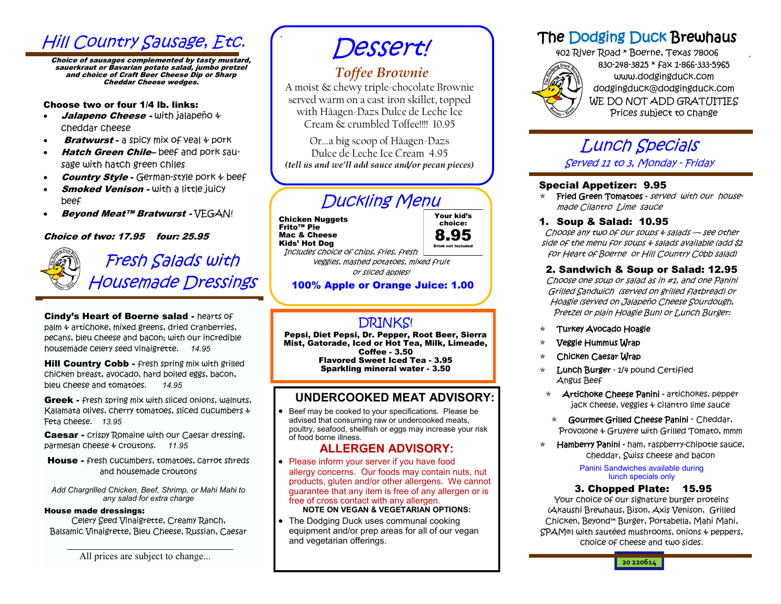## **Hill Country Sausage, Etc.**

Choice of sausages complemented by tasty mustard, sauerkraut or Bavarian potato salad, jumbo pretzel and choice of Craft Beer Cheese Dip or Sharp Cheddar Cheese wedges.

#### Choose two or four 1/4 lb. links:

- Jalapeno Cheese with jalapeño + cheddar cheese
- **Bratwurst a spicy mix of yeal**  $\psi$  **pork**
- Hatch Green Chile-beef and pork sausage with hatch green chiles
- **Country Style -** German-style pork  $\psi$  beef
- **Smoked Venison With a little juicy** beef
- Beyond Meat™ Bratwurst VEGAN!

#### Choice of two: 17.95 four: 25.95



# Fresh Salads with Housemade Dressings

Cindy's Heart of Boerne salad - hearts of palm & artichoke, mixed greens, dried cranberries, pecans, bleu cheese and bacon; with our incredible housemade celery seed vinaigrette. *14.95*

Hill Country Cobb - fresh spring mix with grilled chicken breast, avocado, hard boiled eggs, bacon, bleu cheese and tomatoes. *14.95*

**Greek - Fresh spring mix with sliced onions, walnuts,** Kalamata olives, cherry tomatoes, sliced cucumbers & Feta cheese. *13.95*

**Caesar -** Crispy Romaine with our Caesar dressing, parmesan cheese & croutons. *11.95*

House - fresh cucumbers, tomatoes, carrot shreds and housemade croutons

*Add Chargrilled Chicken, Beef, Shrimp, or Mahi Mahi to any salad for extra charge*

#### House made dressings:

Celery Seed Vinaigrette, Creamy Ranch, Balsamic Vinaigrette, Bleu Cheese, Russian, Caesar

All prices are subject to change...

# Dessert!

### *Toffee Brownie*

A moist & chewy triple-chocolate Brownie served warm on a cast iron skillet, topped with Häagen-Dazs Dulce de Leche Ice Cream & crumbled Toffee!!!! 10.95

Or...a big scoop of Häagen-Dazs Dulce de Leche Ice Cream 4.95 *(tell us and we'll add sauce and/or pecan pieces)*

## Duckling Menu

Chicken Nuggets Frito™ Pie Mac & Cheese Kids' Hot Dog

`



Includes choice of chips, fries, fresh veggies, mashed potatoes, mixed fruit or sliced apples!

#### 100% Apple or Orange Juice: 1.00

### DRINKS!

Pepsi, Diet Pepsi, Dr. Pepper, Root Beer, Sierra Mist, Gatorade, Iced or Hot Tea, Milk, Limeade, Coffee - 3.50 Flavored Sweet Iced Tea - 3.95 Sparkling mineral water - 3.50

### **UNDERCOOKED MEAT ADVISORY:**

 Beef may be cooked to your specifications. Please be advised that consuming raw or undercooked meats, poultry, seafood, shellfish or eggs may increase your risk of food borne illness.

#### **ALLERGEN ADVISORY:**

- Please inform your server if you have food allergy concerns. Our foods may contain nuts, nut products, gluten and/or other allergens. We cannot guarantee that any item is free of any allergen or is free of cross contact with any allergen. **NOTE ON VEGAN & VEGETARIAN OPTIONS:**
- The Dodging Duck uses communal cooking equipment and/or prep areas for all of our vegan and vegetarian offerings.

## The Dodging Duck Brewhaus

402 River Road \* Boerne, Texas 78006 830-248-3825 \* fax 1-866-333-5965 www.dodgingduck.com dodgingduck@dodgingduck.com WE DO NOT ADD GRATUITIES Prices subject to change

`

## Lunch Specials Served 11 to 3, Monday - Friday

#### Special Appetizer: 9.95

- $\star$  Fried Green Tomatoes served with our housemade Cilantro Lime sauce
- 1. Soup & Salad: 10.95

Choose any two of our soups  $\psi$  salads  $\rightarrow$  see other side of the menu for soups & salads available (add \$2 for Heart of Boerne or Hill Country Cobb salad)

#### 2. Sandwich & Soup or Salad: 12.95

Choose one soup or salad as in #1, and one Panini Grilled Sandwich (served on grilled flatbread) or Hoagie (served on Jalapeño Cheese Sourdough, Pretzel or plain Hoagie Bun) or Lunch Burger:

- Turkey Avocado Hoagie
- Veggie Hummus Wrap
- Chicken Caesar Wrap
- Lunch Burger 1/4 pound Certified Angus Beef
- \* **Artichoke Cheese Panini artichokes, pepper** jack cheese, veggies & cilantro lime sauce
- $\star$  Gourmet Grilled Cheese Panini Cheddar, Provolone & Gruyere with Grilled Tomato, mmm
- Hamberry Panini ham, raspberry-chipotle sauce, cheddar, Swiss cheese and bacon

Panini Sandwiches available during lunch specials only

#### 3. Chopped Plate: 15.95

Your choice of our signature burger proteins (Akaushi Brewhaus, Bison, Axis Venison, Grilled Chicken, Beyond™ Burger, Portabella, Mahi Mahi, SPAM®) with sautéed mushrooms, onions & peppers, choice of cheese and two sides.

**20 220614**